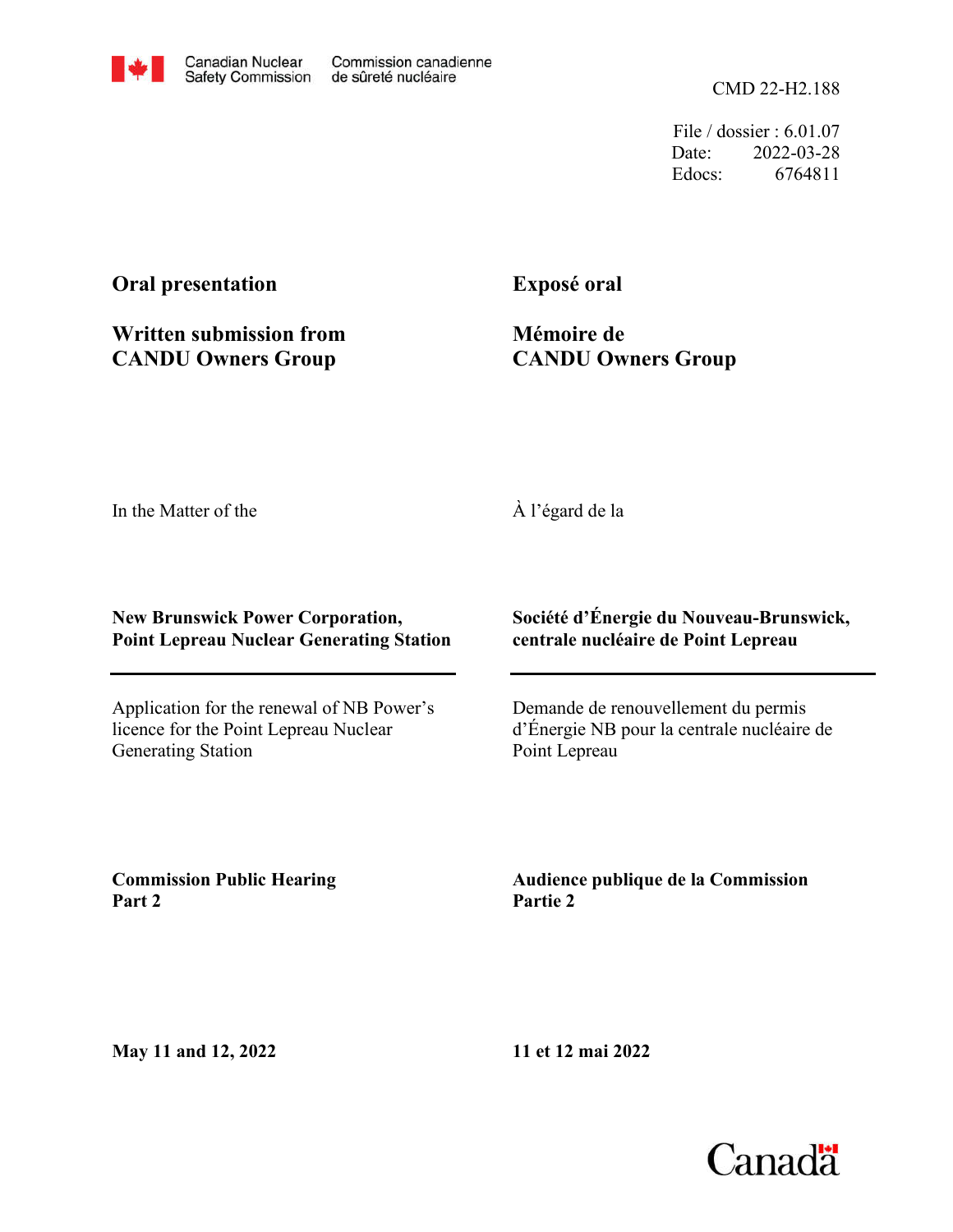File / dossier : 6.01.07 Date: 2022-03-28 Edocs: 6764811

# **Oral presentation**

**Written submission from CANDU Owners Group**

**Exposé oral**

**Mémoire de CANDU Owners Group**

In the Matter of the

## À l'égard de la

#### **New Brunswick Power Corporation, Point Lepreau Nuclear Generating Station**

Application for the renewal of NB Power's licence for the Point Lepreau Nuclear Generating Station

**Société d'Énergie du Nouveau-Brunswick, centrale nucléaire de Point Lepreau**

Demande de renouvellement du permis d'Énergie NB pour la centrale nucléaire de Point Lepreau

**Commission Public Hearing Part 2**

**Audience publique de la Commission Partie 2**

**May 11 and 12, 2022**

**11 et 12 mai 2022**

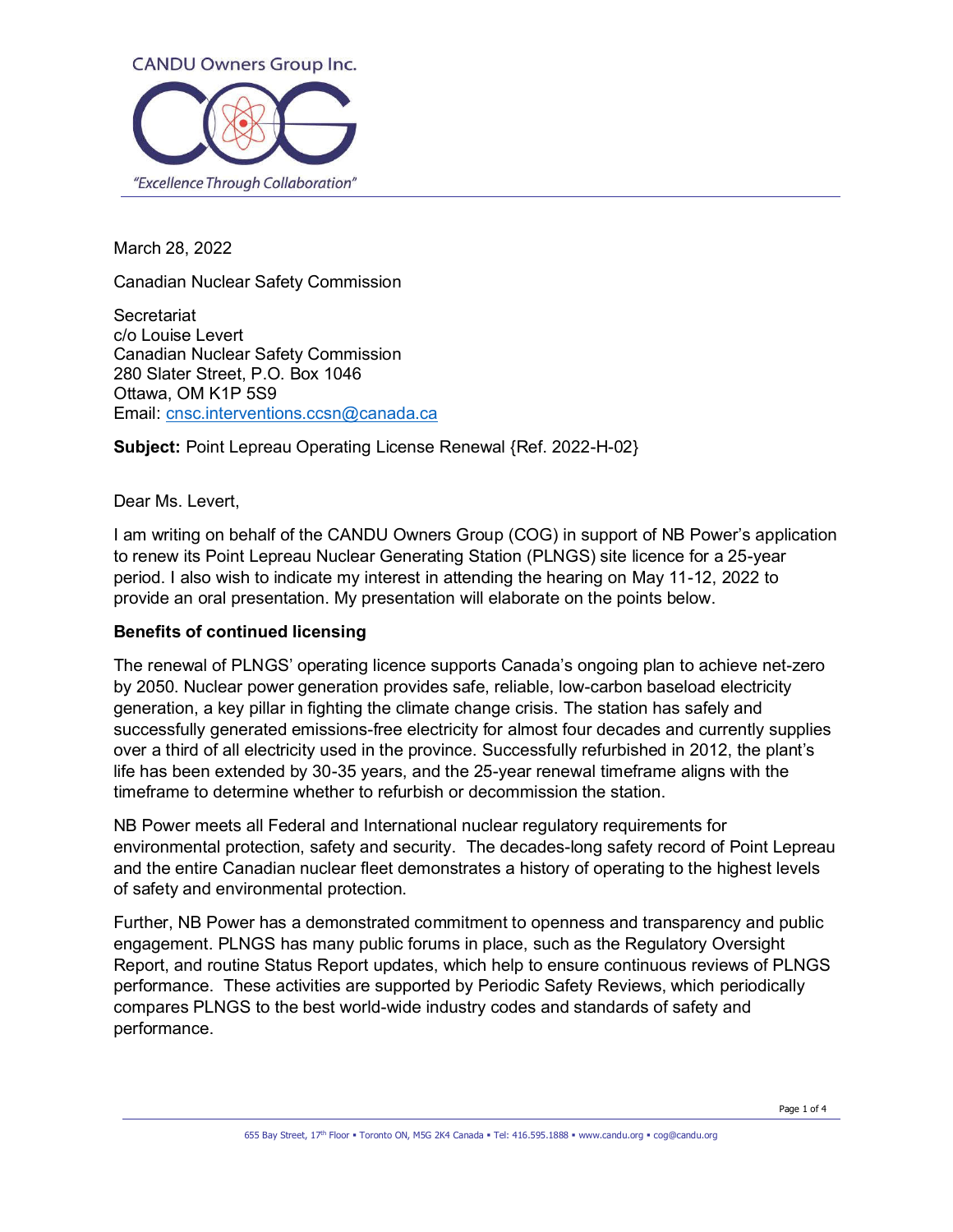

March 28, 2022

Canadian Nuclear Safety Commission

**Secretariat** c/o Louise Levert Canadian Nuclear Safety Commission 280 Slater Street, P.O. Box 1046 Ottawa, OM K1P 5S9 Email: cnsc.interventions.ccsn@canada.ca

**Subject:** Point Lepreau Operating License Renewal {Ref. 2022-H-02}

Dear Ms. Levert,

I am writing on behalf of the CANDU Owners Group (COG) in support of NB Power's application to renew its Point Lepreau Nuclear Generating Station (PLNGS) site licence for a 25-year period. I also wish to indicate my interest in attending the hearing on May 11-12, 2022 to provide an oral presentation. My presentation will elaborate on the points below.

#### **Benefits of continued licensing**

The renewal of PLNGS' operating licence supports Canada's ongoing plan to achieve net-zero by 2050. Nuclear power generation provides safe, reliable, low-carbon baseload electricity generation, a key pillar in fighting the climate change crisis. The station has safely and successfully generated emissions-free electricity for almost four decades and currently supplies over a third of all electricity used in the province. Successfully refurbished in 2012, the plant's life has been extended by 30-35 years, and the 25-year renewal timeframe aligns with the timeframe to determine whether to refurbish or decommission the station.

NB Power meets all Federal and International nuclear regulatory requirements for environmental protection, safety and security. The decades-long safety record of Point Lepreau and the entire Canadian nuclear fleet demonstrates a history of operating to the highest levels of safety and environmental protection.

Further, NB Power has a demonstrated commitment to openness and transparency and public engagement. PLNGS has many public forums in place, such as the Regulatory Oversight Report, and routine Status Report updates, which help to ensure continuous reviews of PLNGS performance. These activities are supported by Periodic Safety Reviews, which periodically compares PLNGS to the best world-wide industry codes and standards of safety and performance.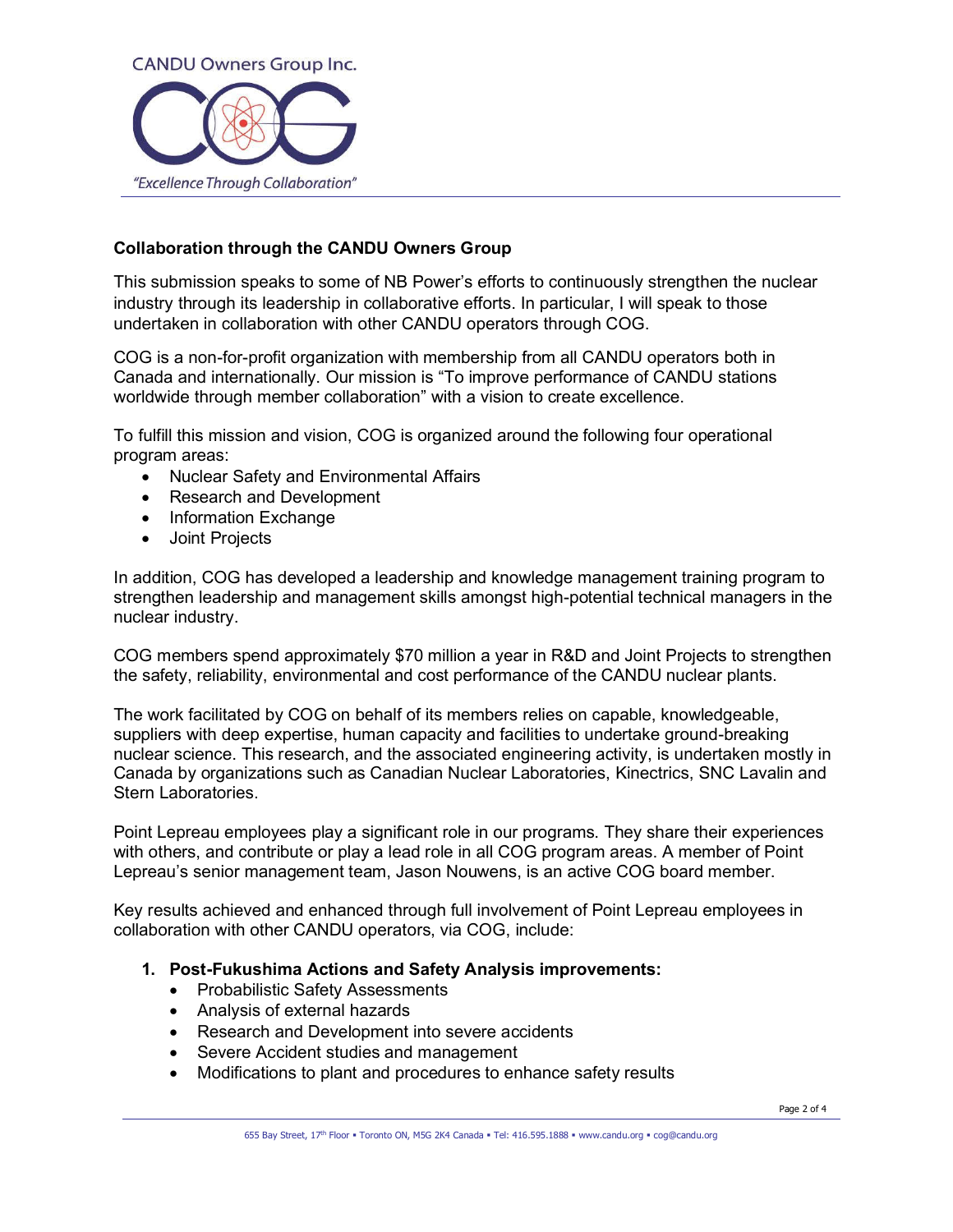

## **Collaboration through the CANDU Owners Group**

This submission speaks to some of NB Power's efforts to continuously strengthen the nuclear industry through its leadership in collaborative efforts. In particular, I will speak to those undertaken in collaboration with other CANDU operators through COG.

COG is a non-for-profit organization with membership from all CANDU operators both in Canada and internationally. Our mission is "To improve performance of CANDU stations worldwide through member collaboration" with a vision to create excellence.

To fulfill this mission and vision, COG is organized around the following four operational program areas:

- Nuclear Safety and Environmental Affairs
- Research and Development
- Information Exchange
- Joint Projects

In addition, COG has developed a leadership and knowledge management training program to strengthen leadership and management skills amongst high-potential technical managers in the nuclear industry.

COG members spend approximately \$70 million a year in R&D and Joint Projects to strengthen the safety, reliability, environmental and cost performance of the CANDU nuclear plants.

The work facilitated by COG on behalf of its members relies on capable, knowledgeable, suppliers with deep expertise, human capacity and facilities to undertake ground-breaking nuclear science. This research, and the associated engineering activity, is undertaken mostly in Canada by organizations such as Canadian Nuclear Laboratories, Kinectrics, SNC Lavalin and Stern Laboratories.

Point Lepreau employees play a significant role in our programs. They share their experiences with others, and contribute or play a lead role in all COG program areas. A member of Point Lepreau's senior management team, Jason Nouwens, is an active COG board member.

Key results achieved and enhanced through full involvement of Point Lepreau employees in collaboration with other CANDU operators, via COG, include:

- **1. Post-Fukushima Actions and Safety Analysis improvements:** 
	- Probabilistic Safety Assessments
	- Analysis of external hazards
	- Research and Development into severe accidents
	- Severe Accident studies and management
	- Modifications to plant and procedures to enhance safety results

Page 2 of 4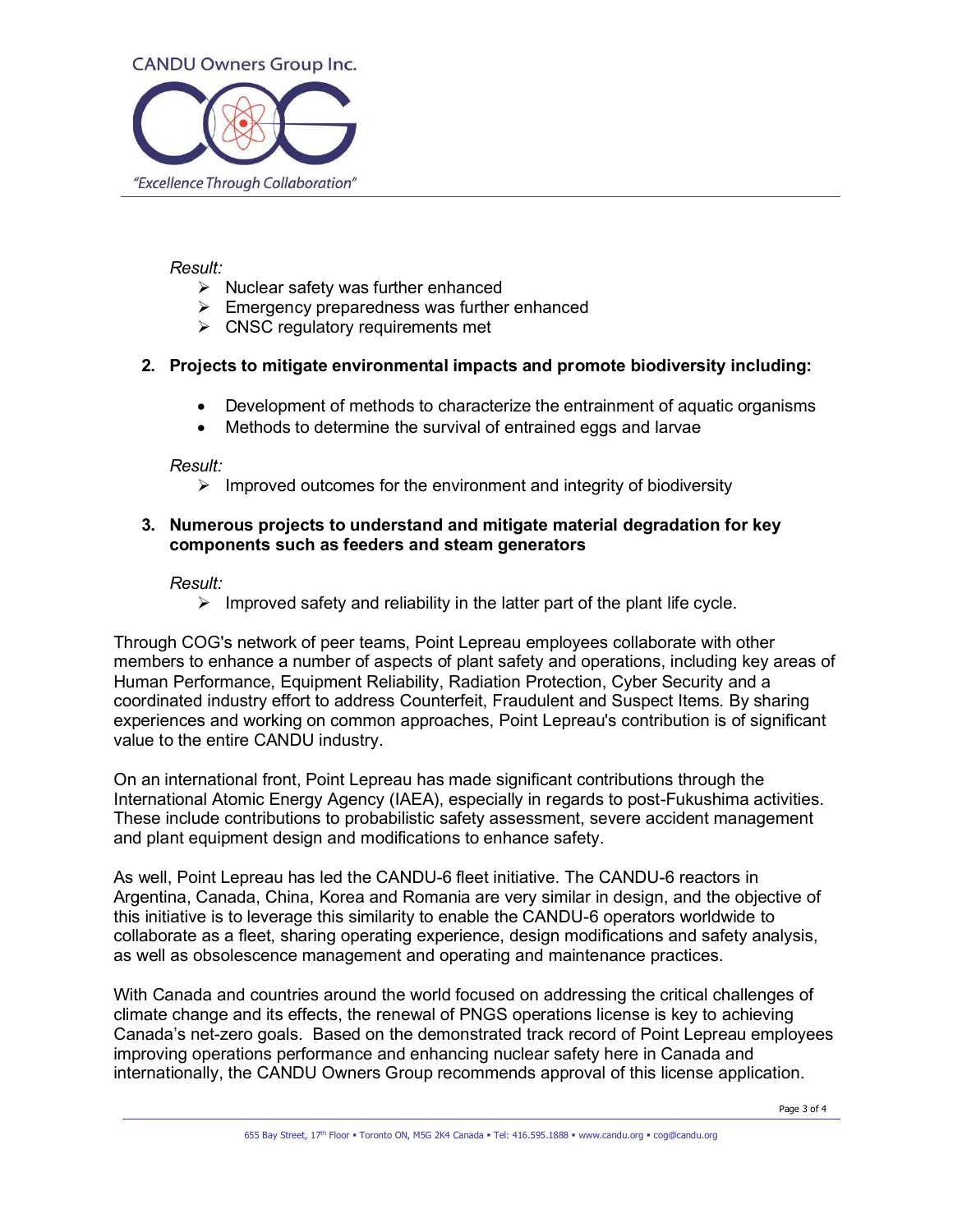

#### *Result:*

- ➢ Nuclear safety was further enhanced
- $\triangleright$  Emergency preparedness was further enhanced
- $\triangleright$  CNSC regulatory requirements met

## **2. Projects to mitigate environmental impacts and promote biodiversity including:**

- Development of methods to characterize the entrainment of aquatic organisms
- Methods to determine the survival of entrained eggs and larvae

*Result:* 

 $\triangleright$  Improved outcomes for the environment and integrity of biodiversity

#### **3. Numerous projects to understand and mitigate material degradation for key components such as feeders and steam generators**

*Result:* 

 $\triangleright$  Improved safety and reliability in the latter part of the plant life cycle.

Through COG's network of peer teams, Point Lepreau employees collaborate with other members to enhance a number of aspects of plant safety and operations, including key areas of Human Performance, Equipment Reliability, Radiation Protection, Cyber Security and a coordinated industry effort to address Counterfeit, Fraudulent and Suspect Items. By sharing experiences and working on common approaches, Point Lepreau's contribution is of significant value to the entire CANDU industry.

On an international front, Point Lepreau has made significant contributions through the International Atomic Energy Agency (IAEA), especially in regards to post-Fukushima activities. These include contributions to probabilistic safety assessment, severe accident management and plant equipment design and modifications to enhance safety.

As well, Point Lepreau has led the CANDU-6 fleet initiative. The CANDU-6 reactors in Argentina, Canada, China, Korea and Romania are very similar in design, and the objective of this initiative is to leverage this similarity to enable the CANDU-6 operators worldwide to collaborate as a fleet, sharing operating experience, design modifications and safety analysis, as well as obsolescence management and operating and maintenance practices.

With Canada and countries around the world focused on addressing the critical challenges of climate change and its effects, the renewal of PNGS operations license is key to achieving Canada's net-zero goals. Based on the demonstrated track record of Point Lepreau employees improving operations performance and enhancing nuclear safety here in Canada and internationally, the CANDU Owners Group recommends approval of this license application.

Page 3 of 4